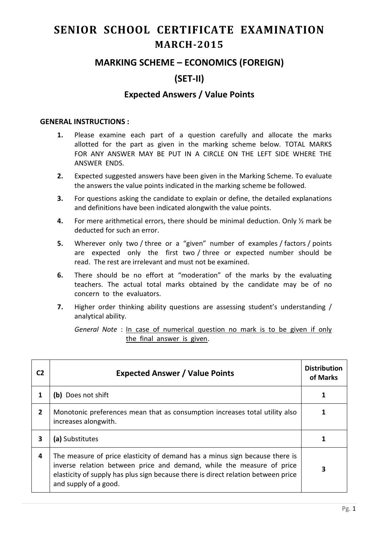# **SENIOR SCHOOL CERTIFICATE EXAMINATION MARCH-2015**

## **MARKING SCHEME – ECONOMICS (FOREIGN)**

# **(SET-II)**

## **Expected Answers / Value Points**

#### **GENERAL INSTRUCTIONS :**

- **1.** Please examine each part of a question carefully and allocate the marks allotted for the part as given in the marking scheme below. TOTAL MARKS FOR ANY ANSWER MAY BE PUT IN A CIRCLE ON THE LEFT SIDE WHERE THE ANSWER ENDS.
- **2.** Expected suggested answers have been given in the Marking Scheme. To evaluate the answers the value points indicated in the marking scheme be followed.
- **3.** For questions asking the candidate to explain or define, the detailed explanations and definitions have been indicated alongwith the value points.
- **4.** For mere arithmetical errors, there should be minimal deduction. Only ½ mark be deducted for such an error.
- **5.** Wherever only two / three or a "given" number of examples / factors / points are expected only the first two / three or expected number should be read. The rest are irrelevant and must not be examined.
- **6.** There should be no effort at "moderation" of the marks by the evaluating teachers. The actual total marks obtained by the candidate may be of no concern to the evaluators.
- **7.** Higher order thinking ability questions are assessing student's understanding / analytical ability.

*General Note* : In case of numerical question no mark is to be given if only the final answer is given.

| C2           | <b>Expected Answer / Value Points</b>                                                                                                                                                                                                                              | <b>Distribution</b><br>of Marks |
|--------------|--------------------------------------------------------------------------------------------------------------------------------------------------------------------------------------------------------------------------------------------------------------------|---------------------------------|
|              | (b) Does not shift                                                                                                                                                                                                                                                 |                                 |
| $\mathbf{2}$ | Monotonic preferences mean that as consumption increases total utility also<br>increases alongwith.                                                                                                                                                                |                                 |
| 3            | (a) Substitutes                                                                                                                                                                                                                                                    |                                 |
| 4            | The measure of price elasticity of demand has a minus sign because there is<br>inverse relation between price and demand, while the measure of price<br>elasticity of supply has plus sign because there is direct relation between price<br>and supply of a good. |                                 |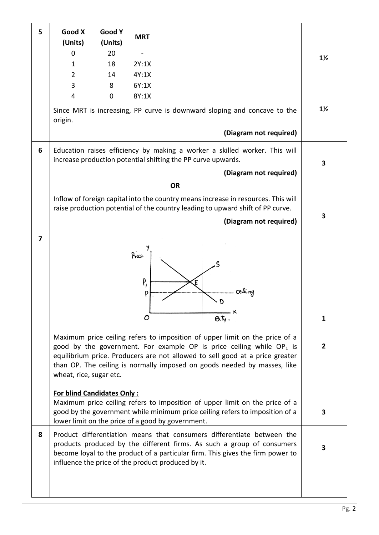| 5 | Good X<br>(Units)                 | Good Y<br>(Units) | <b>MRT</b>       |                                                                                                                                                                                                                                                                                                                                                            |                                |
|---|-----------------------------------|-------------------|------------------|------------------------------------------------------------------------------------------------------------------------------------------------------------------------------------------------------------------------------------------------------------------------------------------------------------------------------------------------------------|--------------------------------|
|   | $\mathbf{0}$                      | 20                |                  |                                                                                                                                                                                                                                                                                                                                                            | $1\frac{1}{2}$                 |
|   | $\mathbf{1}$                      | 18                | 2Y:1X            |                                                                                                                                                                                                                                                                                                                                                            |                                |
|   | $\overline{2}$                    | 14                | 4Y:1X            |                                                                                                                                                                                                                                                                                                                                                            |                                |
|   | 3                                 | 8                 | 6Y:1X            |                                                                                                                                                                                                                                                                                                                                                            |                                |
|   | $\overline{4}$                    | 0                 | 8Y:1X            |                                                                                                                                                                                                                                                                                                                                                            |                                |
|   | origin.                           |                   |                  | Since MRT is increasing, PP curve is downward sloping and concave to the                                                                                                                                                                                                                                                                                   | $1\frac{1}{2}$                 |
|   |                                   |                   |                  | (Diagram not required)                                                                                                                                                                                                                                                                                                                                     |                                |
| 6 |                                   |                   |                  | Education raises efficiency by making a worker a skilled worker. This will<br>increase production potential shifting the PP curve upwards.                                                                                                                                                                                                                 | 3                              |
|   |                                   |                   |                  | (Diagram not required)                                                                                                                                                                                                                                                                                                                                     |                                |
|   |                                   |                   |                  | <b>OR</b>                                                                                                                                                                                                                                                                                                                                                  |                                |
|   |                                   |                   |                  | Inflow of foreign capital into the country means increase in resources. This will<br>raise production potential of the country leading to upward shift of PP curve.<br>(Diagram not required)                                                                                                                                                              | 3                              |
| 7 |                                   |                   |                  |                                                                                                                                                                                                                                                                                                                                                            |                                |
|   | wheat, rice, sugar etc.           |                   | Price<br>P,<br>O | cevli ng<br>- X<br>$a\overline{b}$ .<br>Maximum price ceiling refers to imposition of upper limit on the price of a<br>good by the government. For example OP is price ceiling while $OP_1$ is<br>equilibrium price. Producers are not allowed to sell good at a price greater<br>than OP. The ceiling is normally imposed on goods needed by masses, like | $\mathbf{1}$<br>$\overline{2}$ |
|   | <b>For blind Candidates Only:</b> |                   |                  | Maximum price ceiling refers to imposition of upper limit on the price of a<br>good by the government while minimum price ceiling refers to imposition of a<br>lower limit on the price of a good by government.                                                                                                                                           | 3                              |
| 8 |                                   |                   |                  | Product differentiation means that consumers differentiate between the<br>products produced by the different firms. As such a group of consumers<br>become loyal to the product of a particular firm. This gives the firm power to<br>influence the price of the product produced by it.                                                                   | 3                              |
|   |                                   |                   |                  |                                                                                                                                                                                                                                                                                                                                                            |                                |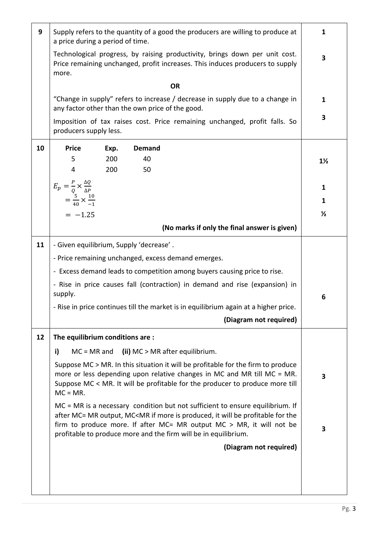| 9  | Supply refers to the quantity of a good the producers are willing to produce at<br>a price during a period of time.                                                                                                                                        |      |                                                                                                                                                                                                                                                                                                                                                                              |                |  |  |
|----|------------------------------------------------------------------------------------------------------------------------------------------------------------------------------------------------------------------------------------------------------------|------|------------------------------------------------------------------------------------------------------------------------------------------------------------------------------------------------------------------------------------------------------------------------------------------------------------------------------------------------------------------------------|----------------|--|--|
|    | Technological progress, by raising productivity, brings down per unit cost.<br>Price remaining unchanged, profit increases. This induces producers to supply<br>more.                                                                                      |      |                                                                                                                                                                                                                                                                                                                                                                              |                |  |  |
|    |                                                                                                                                                                                                                                                            |      | <b>OR</b>                                                                                                                                                                                                                                                                                                                                                                    |                |  |  |
|    | "Change in supply" refers to increase / decrease in supply due to a change in<br>any factor other than the own price of the good.                                                                                                                          |      |                                                                                                                                                                                                                                                                                                                                                                              |                |  |  |
|    | Imposition of tax raises cost. Price remaining unchanged, profit falls. So<br>producers supply less.                                                                                                                                                       |      |                                                                                                                                                                                                                                                                                                                                                                              |                |  |  |
| 10 | <b>Price</b>                                                                                                                                                                                                                                               | Exp. | <b>Demand</b>                                                                                                                                                                                                                                                                                                                                                                |                |  |  |
|    | 5                                                                                                                                                                                                                                                          | 200  | 40                                                                                                                                                                                                                                                                                                                                                                           | $1\frac{1}{2}$ |  |  |
|    | 4                                                                                                                                                                                                                                                          | 200  | 50                                                                                                                                                                                                                                                                                                                                                                           |                |  |  |
|    | $E_p = \frac{P}{Q} \times \frac{\Delta Q}{\Delta P}$                                                                                                                                                                                                       |      |                                                                                                                                                                                                                                                                                                                                                                              | $\mathbf{1}$   |  |  |
|    | $=\frac{5}{40}\times\frac{10}{-1}$                                                                                                                                                                                                                         |      |                                                                                                                                                                                                                                                                                                                                                                              | $\mathbf{1}$   |  |  |
|    | $= -1.25$                                                                                                                                                                                                                                                  |      |                                                                                                                                                                                                                                                                                                                                                                              | $\frac{1}{2}$  |  |  |
|    |                                                                                                                                                                                                                                                            |      | (No marks if only the final answer is given)                                                                                                                                                                                                                                                                                                                                 |                |  |  |
|    |                                                                                                                                                                                                                                                            |      |                                                                                                                                                                                                                                                                                                                                                                              |                |  |  |
| 11 | - Given equilibrium, Supply 'decrease'.                                                                                                                                                                                                                    |      |                                                                                                                                                                                                                                                                                                                                                                              |                |  |  |
|    | - Price remaining unchanged, excess demand emerges.                                                                                                                                                                                                        |      |                                                                                                                                                                                                                                                                                                                                                                              |                |  |  |
|    |                                                                                                                                                                                                                                                            |      | - Excess demand leads to competition among buyers causing price to rise.                                                                                                                                                                                                                                                                                                     |                |  |  |
|    | - Rise in price causes fall (contraction) in demand and rise (expansion) in<br>supply.                                                                                                                                                                     |      |                                                                                                                                                                                                                                                                                                                                                                              |                |  |  |
|    | - Rise in price continues till the market is in equilibrium again at a higher price.                                                                                                                                                                       |      |                                                                                                                                                                                                                                                                                                                                                                              |                |  |  |
|    |                                                                                                                                                                                                                                                            |      | (Diagram not required)                                                                                                                                                                                                                                                                                                                                                       |                |  |  |
| 12 | The equilibrium conditions are:                                                                                                                                                                                                                            |      |                                                                                                                                                                                                                                                                                                                                                                              |                |  |  |
|    | i)                                                                                                                                                                                                                                                         |      | $MC = MR$ and (ii) $MC > MR$ after equilibrium.                                                                                                                                                                                                                                                                                                                              |                |  |  |
|    | Suppose MC > MR. In this situation it will be profitable for the firm to produce<br>more or less depending upon relative changes in MC and MR till MC = MR.<br>Suppose MC < MR. It will be profitable for the producer to produce more till<br>$MC = MR$ . |      |                                                                                                                                                                                                                                                                                                                                                                              |                |  |  |
|    |                                                                                                                                                                                                                                                            |      | MC = MR is a necessary condition but not sufficient to ensure equilibrium. If<br>after MC= MR output, MC <mr be="" for="" if="" is="" it="" more="" produced,="" profitable="" the<br="" will="">firm to produce more. If after <math>MC = MR</math> output <math>MC &gt; MR</math>, it will not be<br/>profitable to produce more and the firm will be in equilibrium.</mr> | 3              |  |  |
|    |                                                                                                                                                                                                                                                            |      | (Diagram not required)                                                                                                                                                                                                                                                                                                                                                       |                |  |  |
|    |                                                                                                                                                                                                                                                            |      |                                                                                                                                                                                                                                                                                                                                                                              |                |  |  |
|    |                                                                                                                                                                                                                                                            |      |                                                                                                                                                                                                                                                                                                                                                                              |                |  |  |
|    |                                                                                                                                                                                                                                                            |      |                                                                                                                                                                                                                                                                                                                                                                              |                |  |  |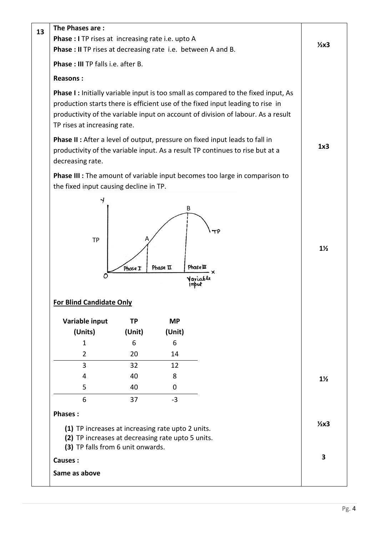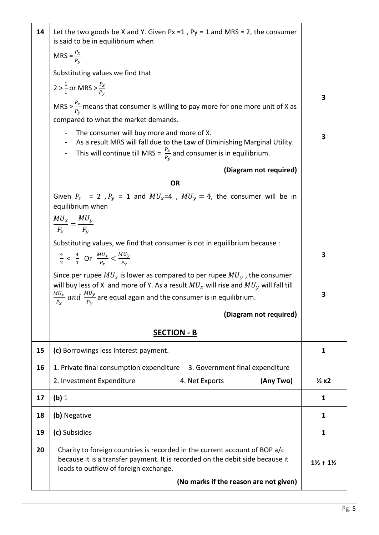| 14 | Let the two goods be X and Y. Given Px = 1, Py = 1 and MRS = 2, the consumer<br>is said to be in equilibrium when                                                                                                           |                                 |  |
|----|-----------------------------------------------------------------------------------------------------------------------------------------------------------------------------------------------------------------------------|---------------------------------|--|
|    | MRS = $\frac{P_x}{P_y}$                                                                                                                                                                                                     |                                 |  |
|    | Substituting values we find that                                                                                                                                                                                            |                                 |  |
|    | 2 > $\frac{1}{1}$ or MRS > $\frac{P_x}{P_y}$                                                                                                                                                                                | 3                               |  |
|    | MRS > $\frac{P_x}{P_y}$ means that consumer is willing to pay more for one more unit of X as                                                                                                                                |                                 |  |
|    | compared to what the market demands.                                                                                                                                                                                        |                                 |  |
|    | The consumer will buy more and more of X.<br>As a result MRS will fall due to the Law of Diminishing Marginal Utility.<br>This will continue till MRS = $\frac{P_X}{P_Y}$ and consumer is in equilibrium.<br>$\blacksquare$ | 3                               |  |
|    | (Diagram not required)                                                                                                                                                                                                      |                                 |  |
|    | <b>OR</b>                                                                                                                                                                                                                   |                                 |  |
|    | Given $P_x$ = 2, $P_y$ = 1 and $MU_x$ =4, $MU_y$ = 4, the consumer will be in<br>equilibrium when                                                                                                                           |                                 |  |
|    | $\frac{MU_x}{P_x} = \frac{MU_y}{P_y}$                                                                                                                                                                                       |                                 |  |
|    | Substituting values, we find that consumer is not in equilibrium because :                                                                                                                                                  |                                 |  |
|    | $\frac{4}{2}$ < $\frac{4}{1}$ Or $\frac{MU_x}{P_x}$ < $\frac{MU_y}{P_y}$                                                                                                                                                    | 3                               |  |
|    | Since per rupee $MU_x$ is lower as compared to per rupee $MU_y$ , the consumer<br>will buy less of X and more of Y. As a result $MU_x$ will rise and $MU_y$ will fall till                                                  | 3                               |  |
|    | $\frac{M U_x}{P_x}$ and $\frac{M U_y}{P_y}$ are equal again and the consumer is in equilibrium.                                                                                                                             |                                 |  |
|    | (Diagram not required)                                                                                                                                                                                                      |                                 |  |
|    | <b>SECTION - B</b>                                                                                                                                                                                                          |                                 |  |
| 15 | (c) Borrowings less Interest payment.                                                                                                                                                                                       | $\mathbf{1}$                    |  |
| 16 | 1. Private final consumption expenditure<br>3. Government final expenditure                                                                                                                                                 |                                 |  |
|    | (Any Two)<br>2. Investment Expenditure<br>4. Net Exports                                                                                                                                                                    | $\frac{1}{2}x2$                 |  |
| 17 | (b) 1                                                                                                                                                                                                                       | 1                               |  |
| 18 | (b) Negative                                                                                                                                                                                                                | $\mathbf{1}$                    |  |
| 19 | (c) Subsidies                                                                                                                                                                                                               | 1                               |  |
| 20 | Charity to foreign countries is recorded in the current account of BOP a/c<br>because it is a transfer payment. It is recorded on the debit side because it<br>leads to outflow of foreign exchange.                        | $1\frac{1}{2}$ + $1\frac{1}{2}$ |  |
|    | (No marks if the reason are not given)                                                                                                                                                                                      |                                 |  |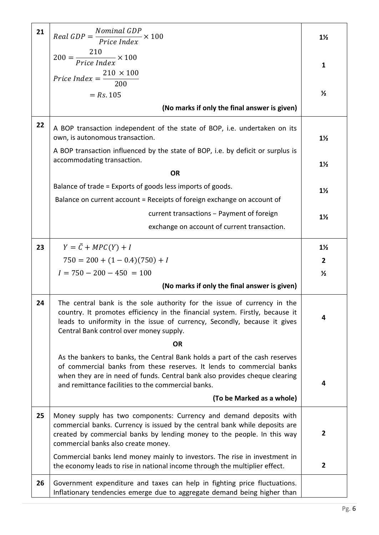| 21 | $Real GDP = \frac{Nominal GDP}{Price Index}$<br>$\overline{\phantom{0}}$ $\times$ 100                                                                                                                                                                                                    | $1\frac{1}{2}$ |
|----|------------------------------------------------------------------------------------------------------------------------------------------------------------------------------------------------------------------------------------------------------------------------------------------|----------------|
|    | $200 = \frac{210}{Price Index} \times 100$                                                                                                                                                                                                                                               |                |
|    |                                                                                                                                                                                                                                                                                          | 1              |
|    | Price Index = $\frac{210 \times 100}{200}$                                                                                                                                                                                                                                               |                |
|    | $= Rs. 105$                                                                                                                                                                                                                                                                              | $\frac{1}{2}$  |
|    | (No marks if only the final answer is given)                                                                                                                                                                                                                                             |                |
| 22 | A BOP transaction independent of the state of BOP, i.e. undertaken on its<br>own, is autonomous transaction.                                                                                                                                                                             | $1\frac{1}{2}$ |
|    | A BOP transaction influenced by the state of BOP, i.e. by deficit or surplus is<br>accommodating transaction.                                                                                                                                                                            | $1\frac{1}{2}$ |
|    | <b>OR</b>                                                                                                                                                                                                                                                                                |                |
|    | Balance of trade = Exports of goods less imports of goods.                                                                                                                                                                                                                               | $1\frac{1}{2}$ |
|    | Balance on current account = Receipts of foreign exchange on account of                                                                                                                                                                                                                  |                |
|    | current transactions - Payment of foreign                                                                                                                                                                                                                                                | $1\frac{1}{2}$ |
|    | exchange on account of current transaction.                                                                                                                                                                                                                                              |                |
| 23 | $Y = \overline{C} + MPC(Y) + I$                                                                                                                                                                                                                                                          | $1\frac{1}{2}$ |
|    | $750 = 200 + (1 - 0.4)(750) + I$                                                                                                                                                                                                                                                         | $\overline{2}$ |
|    | $I = 750 - 200 - 450 = 100$                                                                                                                                                                                                                                                              | $\frac{1}{2}$  |
|    | (No marks if only the final answer is given)                                                                                                                                                                                                                                             |                |
|    |                                                                                                                                                                                                                                                                                          |                |
| 24 | The central bank is the sole authority for the issue of currency in the<br>country. It promotes efficiency in the financial system. Firstly, because it<br>leads to uniformity in the issue of currency, Secondly, because it gives<br>Central Bank control over money supply.           | 4              |
|    | <b>OR</b>                                                                                                                                                                                                                                                                                |                |
|    | As the bankers to banks, the Central Bank holds a part of the cash reserves<br>of commercial banks from these reserves. It lends to commercial banks<br>when they are in need of funds. Central bank also provides cheque clearing<br>and remittance facilities to the commercial banks. | 4              |
|    | (To be Marked as a whole)                                                                                                                                                                                                                                                                |                |
| 25 | Money supply has two components: Currency and demand deposits with<br>commercial banks. Currency is issued by the central bank while deposits are<br>created by commercial banks by lending money to the people. In this way<br>commercial banks also create money.                      | 2              |
|    | Commercial banks lend money mainly to investors. The rise in investment in<br>the economy leads to rise in national income through the multiplier effect.                                                                                                                                | $\overline{2}$ |